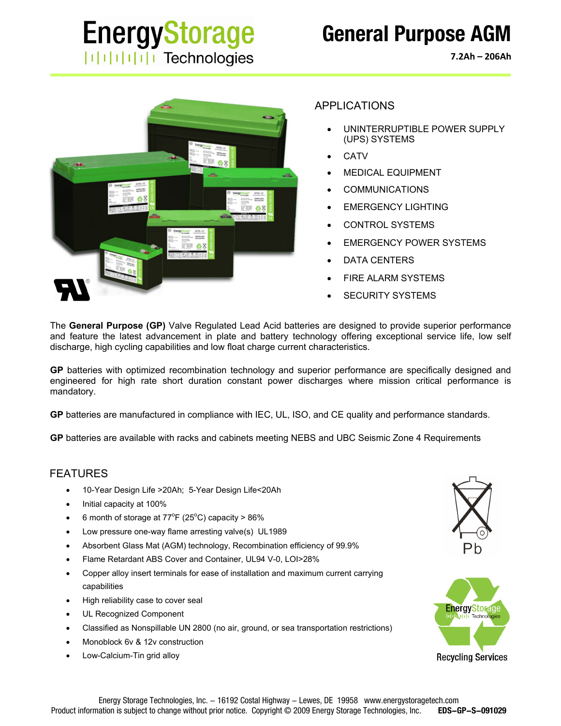## **EnergyStorage**  $||||||||||||||||$  Technologies

### **General Purpose AGM**

**7.2Ah – 206Ah**



#### APPLICATIONS

- UNINTERRUPTIBLE POWER SUPPLY (UPS) SYSTEMS
- **CATV**
- MEDICAL EQUIPMENT
- COMMUNICATIONS
- EMERGENCY LIGHTING
- CONTROL SYSTEMS
- EMERGENCY POWER SYSTEMS
- DATA CENTERS
- FIRE ALARM SYSTEMS
- SECURITY SYSTEMS

The **General Purpose (GP)** Valve Regulated Lead Acid batteries are designed to provide superior performance and feature the latest advancement in plate and battery technology offering exceptional service life, low self discharge, high cycling capabilities and low float charge current characteristics.

**GP** batteries with optimized recombination technology and superior performance are specifically designed and engineered for high rate short duration constant power discharges where mission critical performance is mandatory.

**GP** batteries are manufactured in compliance with IEC, UL, ISO, and CE quality and performance standards.

**GP** batteries are available with racks and cabinets meeting NEBS and UBC Seismic Zone 4 Requirements

#### FEATURES

- 10-Year Design Life >20Ah; 5-Year Design Life<20Ah
- Initial capacity at 100%
- 6 month of storage at  $77^{\circ}F(25^{\circ}C)$  capacity > 86%
- Low pressure one-way flame arresting valve(s) UL1989
- Absorbent Glass Mat (AGM) technology, Recombination efficiency of 99.9%
- Flame Retardant ABS Cover and Container, UL94 V-0, LOI>28%
- Copper alloy insert terminals for ease of installation and maximum current carrying capabilities
- High reliability case to cover seal
- UL Recognized Component
- Classified as Nonspillable UN 2800 (no air, ground, or sea transportation restrictions)
- Monoblock 6v & 12v construction
- Low-Calcium-Tin grid alloy



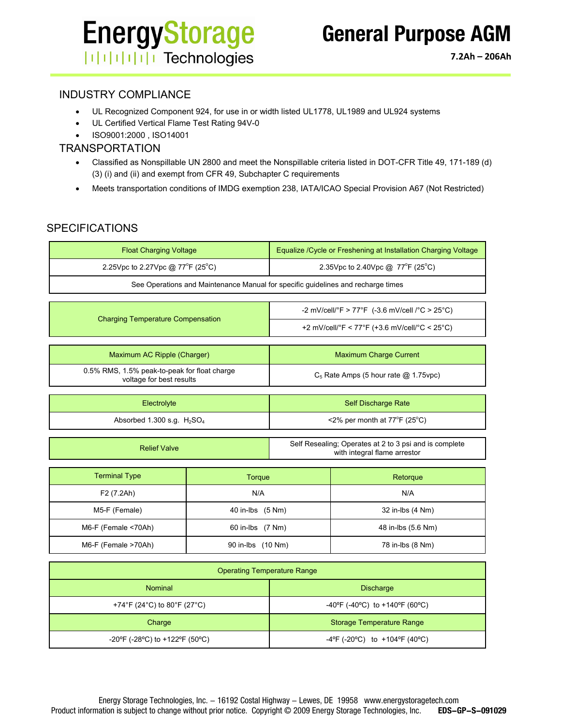# **EnergyStorage ITHEFFITE** Technologies

#### INDUSTRY COMPLIANCE

- UL Recognized Component 924, for use in or width listed UL1778, UL1989 and UL924 systems
- UL Certified Vertical Flame Test Rating 94V-0
- ISO9001:2000 , ISO14001

#### TRANSPORTATION

- Classified as Nonspillable UN 2800 and meet the Nonspillable criteria listed in DOT-CFR Title 49, 171-189 (d) (3) (i) and (ii) and exempt from CFR 49, Subchapter C requirements
- Meets transportation conditions of IMDG exemption 238, IATA/ICAO Special Provision A67 (Not Restricted)

#### SPECIFICATIONS

| Equalize / Cycle or Freshening at Installation Charging Voltage                  |  |  |  |  |  |  |  |  |  |
|----------------------------------------------------------------------------------|--|--|--|--|--|--|--|--|--|
| 2.35Vpc to 2.40Vpc @ 77°F (25°C)                                                 |  |  |  |  |  |  |  |  |  |
| See Operations and Maintenance Manual for specific guidelines and recharge times |  |  |  |  |  |  |  |  |  |
|                                                                                  |  |  |  |  |  |  |  |  |  |
| -2 mV/cell/°F > 77°F (-3.6 mV/cell /°C > 25°C)                                   |  |  |  |  |  |  |  |  |  |
| +2 mV/cell/°F < 77°F (+3.6 mV/cell/°C < 25°C)                                    |  |  |  |  |  |  |  |  |  |
|                                                                                  |  |  |  |  |  |  |  |  |  |
| <b>Maximum Charge Current</b>                                                    |  |  |  |  |  |  |  |  |  |
| $C_5$ Rate Amps (5 hour rate $\omega$ 1.75 vpc)                                  |  |  |  |  |  |  |  |  |  |
|                                                                                  |  |  |  |  |  |  |  |  |  |
| <b>Self Discharge Rate</b>                                                       |  |  |  |  |  |  |  |  |  |
| $\leq$ 2% per month at 77°F (25°C)                                               |  |  |  |  |  |  |  |  |  |
|                                                                                  |  |  |  |  |  |  |  |  |  |

| <b>Relief Valve</b> | Self Resealing; Operates at 2 to 3 psi and is complete |
|---------------------|--------------------------------------------------------|
|                     | with integral flame arrestor                           |

| <b>Terminal Type</b> | Torque            | Retorque           |
|----------------------|-------------------|--------------------|
| F2 (7.2Ah)           | N/A               | N/A                |
| M5-F (Female)        | 40 in-lbs (5 Nm)  | 32 in-lbs (4 Nm)   |
| M6-F (Female <70Ah)  | 60 in-lbs (7 Nm)  | 48 in-lbs (5.6 Nm) |
| M6-F (Female >70Ah)  | 90 in-lbs (10 Nm) | 78 in-lbs (8 Nm)   |

| <b>Operating Temperature Range</b> |                                                                          |  |  |  |  |  |
|------------------------------------|--------------------------------------------------------------------------|--|--|--|--|--|
| <b>Nominal</b>                     | <b>Discharge</b>                                                         |  |  |  |  |  |
| +74°F (24°C) to 80°F (27°C)        | -40°F (-40°C) to +140°F (60°C)                                           |  |  |  |  |  |
| Charge                             | <b>Storage Temperature Range</b>                                         |  |  |  |  |  |
| -20°F (-28°C) to +122°F (50°C)     | $-4^{\circ}$ F (-20 $^{\circ}$ C) to +104 $^{\circ}$ F (40 $^{\circ}$ C) |  |  |  |  |  |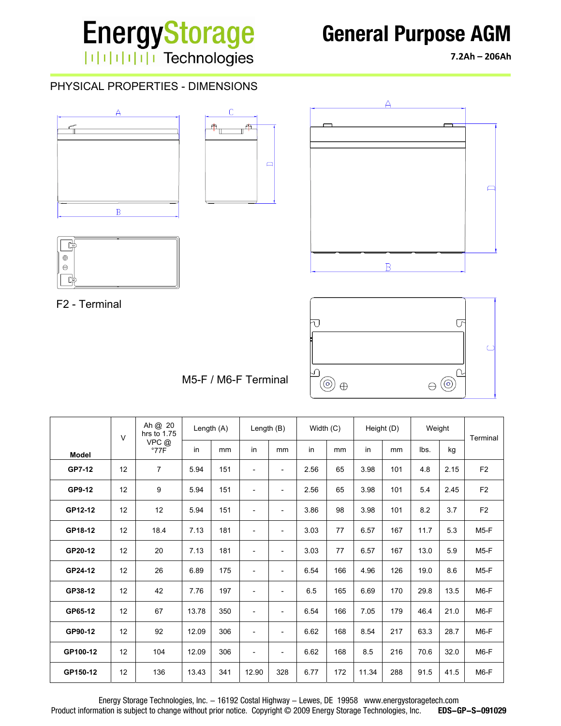# **EnergyStorage** | | | | | | | | | | Technologies

### **General Purpose AGM**

**7.2Ah – 206Ah**

#### PHYSICAL PROPERTIES - DIMENSIONS









F2 - Terminal



M5-F / M6-F Terminal

|              | Ah @ 20<br>hrs to 1.75<br>$\vee$ |                       | Length $(A)$ |     | Length $(B)$             |                          | Width $(C)$ |     |       | Height (D) | Weight |      | Terminal       |
|--------------|----------------------------------|-----------------------|--------------|-----|--------------------------|--------------------------|-------------|-----|-------|------------|--------|------|----------------|
| <b>Model</b> |                                  | VPC@<br>$^{\circ}77F$ | in           | mm  | in                       | mm                       | in          | mm  | in    | mm         | lbs.   | kg   |                |
| GP7-12       | 12                               | 7                     | 5.94         | 151 | $\overline{\phantom{a}}$ | $\overline{\phantom{a}}$ | 2.56        | 65  | 3.98  | 101        | 4.8    | 2.15 | F <sub>2</sub> |
| GP9-12       | 12                               | 9                     | 5.94         | 151 | $\overline{a}$           | $\overline{\phantom{a}}$ | 2.56        | 65  | 3.98  | 101        | 5.4    | 2.45 | F <sub>2</sub> |
| GP12-12      | 12                               | 12                    | 5.94         | 151 | $\overline{\phantom{a}}$ | $\overline{\phantom{a}}$ | 3.86        | 98  | 3.98  | 101        | 8.2    | 3.7  | F <sub>2</sub> |
| GP18-12      | 12                               | 18.4                  | 7.13         | 181 | $\overline{\phantom{a}}$ | $\overline{\phantom{a}}$ | 3.03        | 77  | 6.57  | 167        | 11.7   | 5.3  | $M5-F$         |
| GP20-12      | 12                               | 20                    | 7.13         | 181 | $\overline{\phantom{a}}$ | $\overline{\phantom{a}}$ | 3.03        | 77  | 6.57  | 167        | 13.0   | 5.9  | $M5-F$         |
| GP24-12      | 12                               | 26                    | 6.89         | 175 | $\overline{\phantom{a}}$ | $\overline{\phantom{a}}$ | 6.54        | 166 | 4.96  | 126        | 19.0   | 8.6  | M5-F           |
| GP38-12      | 12                               | 42                    | 7.76         | 197 | $\overline{\phantom{a}}$ | $\overline{\phantom{a}}$ | 6.5         | 165 | 6.69  | 170        | 29.8   | 13.5 | $M6-F$         |
| GP65-12      | 12                               | 67                    | 13.78        | 350 | $\overline{\phantom{a}}$ | $\overline{\phantom{a}}$ | 6.54        | 166 | 7.05  | 179        | 46.4   | 21.0 | $M6-F$         |
| GP90-12      | 12                               | 92                    | 12.09        | 306 | $\overline{a}$           | $\overline{\phantom{a}}$ | 6.62        | 168 | 8.54  | 217        | 63.3   | 28.7 | $M6-F$         |
| GP100-12     | 12                               | 104                   | 12.09        | 306 | $\overline{\phantom{a}}$ | $\overline{\phantom{a}}$ | 6.62        | 168 | 8.5   | 216        | 70.6   | 32.0 | $M6-F$         |
| GP150-12     | 12                               | 136                   | 13.43        | 341 | 12.90                    | 328                      | 6.77        | 172 | 11.34 | 288        | 91.5   | 41.5 | M6-F           |

Energy Storage Technologies, Inc. - 16192 Costal Highway - Lewes, DE 19958 www.energystoragetech.com<br>nation is subject to change without prior notice. Copyright © 2009 Energy Storage Technologies, Inc. EDS-GP-S-091029 Product information is subject to change without prior notice. Copyright © 2009 Energy Storage Technologies, Inc.